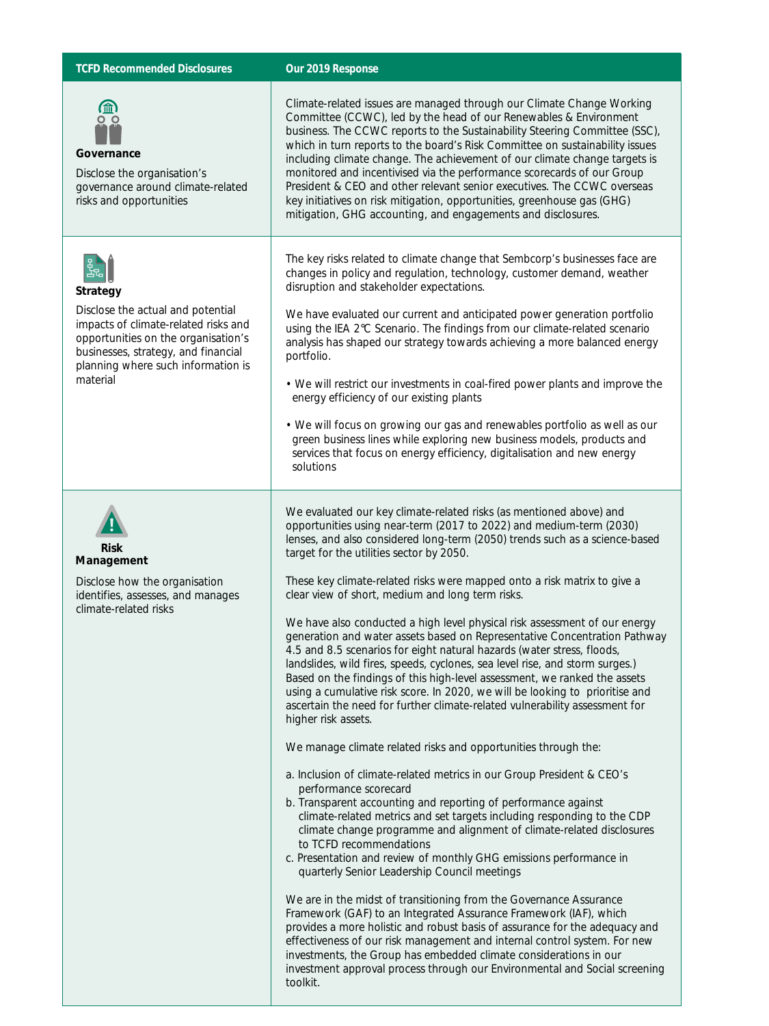## **TCFD Recommended Disclosures Our 2019 Response**



**Governance**

Disclose the organisation's governance around climate-related risks and opportunities



Disclose the actual and potential impacts of climate-related risks and opportunities on the organisation's businesses, strategy, and financial planning where such information is material



Disclose how the organisation identifies, assesses, and manages climate-related risks

Climate-related issues are managed through our Climate Change Working Committee (CCWC), led by the head of our Renewables & Environment business. The CCWC reports to the Sustainability Steering Committee (SSC), which in turn reports to the board's Risk Committee on sustainability issues including climate change. The achievement of our climate change targets is monitored and incentivised via the performance scorecards of our Group President & CEO and other relevant senior executives. The CCWC overseas key initiatives on risk mitigation, opportunities, greenhouse gas (GHG) mitigation, GHG accounting, and engagements and disclosures.

The key risks related to climate change that Sembcorp's businesses face are changes in policy and regulation, technology, customer demand, weather disruption and stakeholder expectations.

We have evaluated our current and anticipated power generation portfolio using the IEA 2°C Scenario. The findings from our climate-related scenario analysis has shaped our strategy towards achieving a more balanced energy portfolio.

• We will restrict our investments in coal-fired power plants and improve the energy efficiency of our existing plants

• We will focus on growing our gas and renewables portfolio as well as our green business lines while exploring new business models, products and services that focus on energy efficiency, digitalisation and new energy solutions

We evaluated our key climate-related risks (as mentioned above) and opportunities using near-term (2017 to 2022) and medium-term (2030) lenses, and also considered long-term (2050) trends such as a science-based target for the utilities sector by 2050.

These key climate-related risks were mapped onto a risk matrix to give a clear view of short, medium and long term risks.

We have also conducted a high level physical risk assessment of our energy generation and water assets based on Representative Concentration Pathway 4.5 and 8.5 scenarios for eight natural hazards (water stress, floods, landslides, wild fires, speeds, cyclones, sea level rise, and storm surges.) Based on the findings of this high-level assessment, we ranked the assets using a cumulative risk score. In 2020, we will be looking to prioritise and ascertain the need for further climate-related vulnerability assessment for higher risk assets.

We manage climate related risks and opportunities through the:

- a. Inclusion of climate-related metrics in our Group President & CEO's performance scorecard
- b. Transparent accounting and reporting of performance against climate-related metrics and set targets including responding to the CDP climate change programme and alignment of climate-related disclosures to TCFD recommendations
- c. Presentation and review of monthly GHG emissions performance in quarterly Senior Leadership Council meetings

We are in the midst of transitioning from the Governance Assurance Framework (GAF) to an Integrated Assurance Framework (IAF), which provides a more holistic and robust basis of assurance for the adequacy and effectiveness of our risk management and internal control system. For new investments, the Group has embedded climate considerations in our investment approval process through our Environmental and Social screening toolkit.